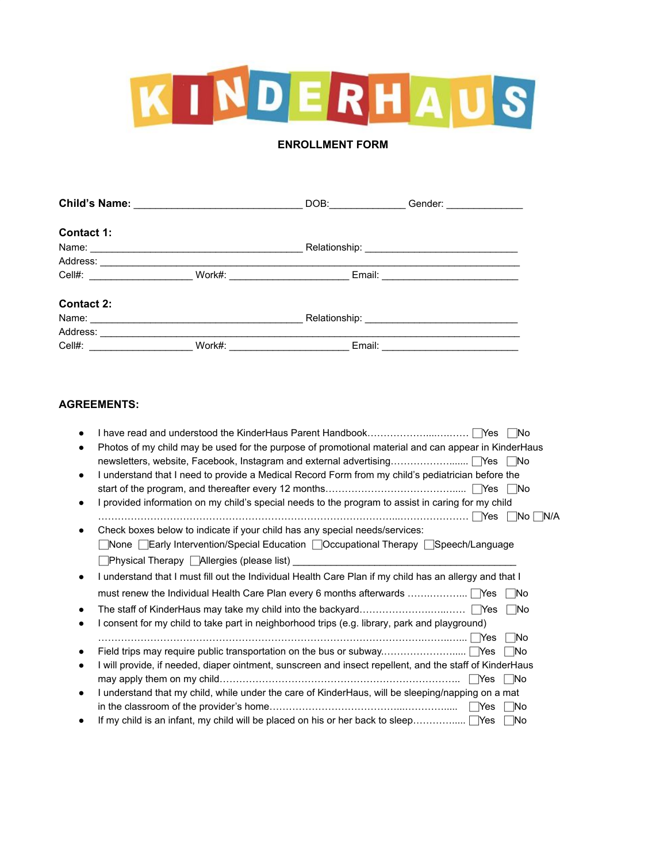

## **ENROLLMENT FORM**

|                                |        | DOB:                              | Gender: ________________ |
|--------------------------------|--------|-----------------------------------|--------------------------|
| Contact 1:                     |        |                                   |                          |
|                                |        |                                   |                          |
|                                |        |                                   |                          |
| Cell#: _______________________ |        | Work#: __________________________ |                          |
| <b>Contact 2:</b>              |        |                                   |                          |
| Name:                          |        |                                   |                          |
| Address:                       |        |                                   |                          |
| Cell#:                         | Work#: | Email:                            |                          |

## **AGREEMENTS:**

|   | Photos of my child may be used for the purpose of promotional material and can appear in KinderHaus        |
|---|------------------------------------------------------------------------------------------------------------|
|   | newsletters, website, Facebook, Instagram and external advertising   Yes<br>- No                           |
|   | I understand that I need to provide a Medical Record Form from my child's pediatrician before the          |
|   |                                                                                                            |
|   | I provided information on my child's special needs to the program to assist in caring for my child         |
|   | ∣ Yes<br>INO.                                                                                              |
|   | Check boxes below to indicate if your child has any special needs/services:                                |
|   | $\Box$ None $\Box$ Early Intervention/Special Education $\Box$ Occupational Therapy $\Box$ Speech/Language |
|   |                                                                                                            |
|   | I understand that I must fill out the Individual Health Care Plan if my child has an allergy and that I    |
|   | l No                                                                                                       |
|   | ∣ No                                                                                                       |
|   | I consent for my child to take part in neighborhood trips (e.g. library, park and playground)              |
|   | <b>No</b>                                                                                                  |
|   | - No                                                                                                       |
|   | I will provide, if needed, diaper ointment, sunscreen and insect repellent, and the staff of KinderHaus    |
|   | - INo                                                                                                      |
| ٠ | I understand that my child, while under the care of KinderHaus, will be sleeping/napping on a mat          |
|   | Yes<br>- INo                                                                                               |
|   | If my child is an infant, my child will be placed on his or her back to sleep $\Box$ Yes<br>- INo          |